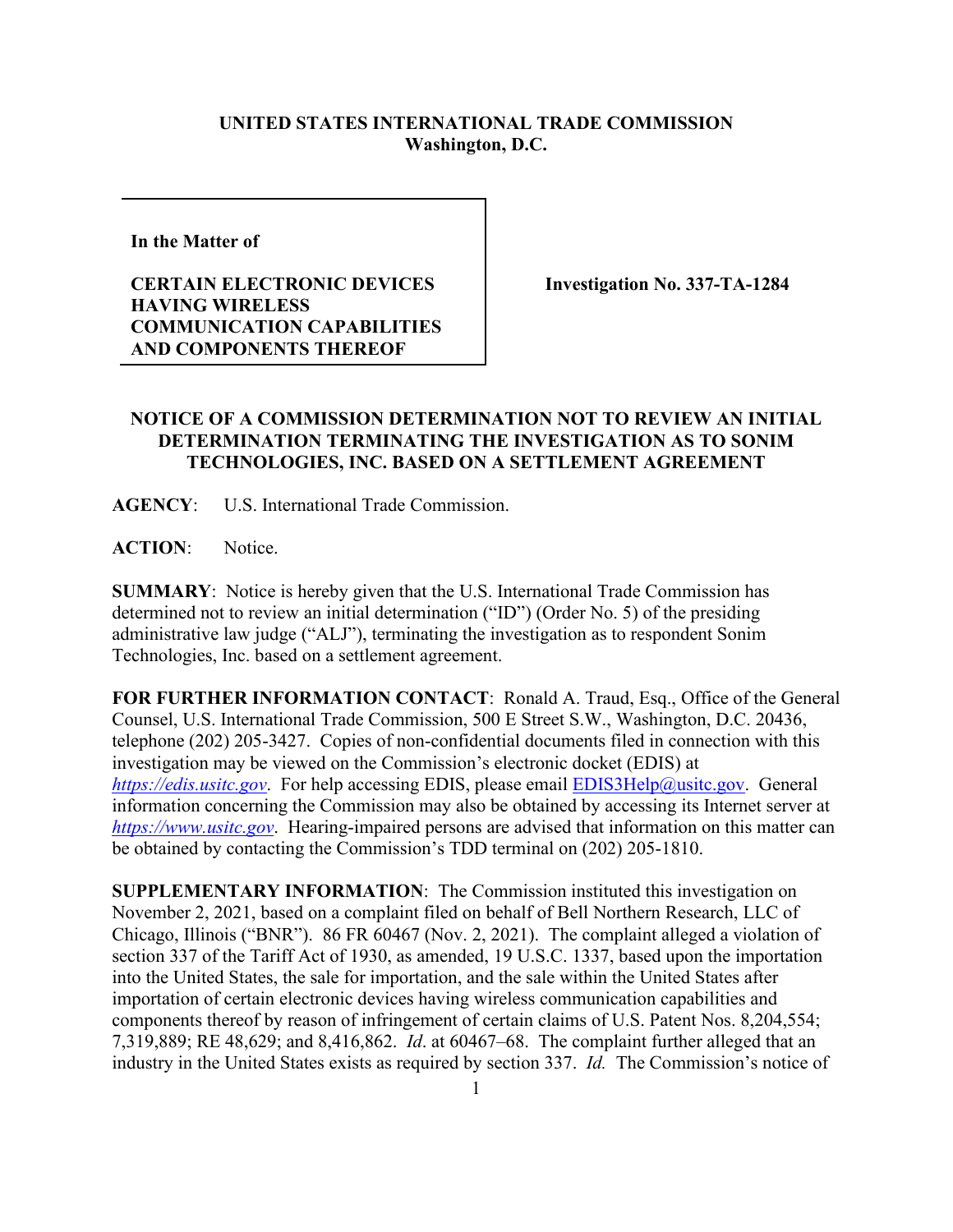## **UNITED STATES INTERNATIONAL TRADE COMMISSION Washington, D.C.**

**In the Matter of** 

## **CERTAIN ELECTRONIC DEVICES HAVING WIRELESS COMMUNICATION CAPABILITIES AND COMPONENTS THEREOF**

**Investigation No. 337-TA-1284**

## **NOTICE OF A COMMISSION DETERMINATION NOT TO REVIEW AN INITIAL DETERMINATION TERMINATING THE INVESTIGATION AS TO SONIM TECHNOLOGIES, INC. BASED ON A SETTLEMENT AGREEMENT**

**AGENCY**: U.S. International Trade Commission.

**ACTION**: Notice.

**SUMMARY**: Notice is hereby given that the U.S. International Trade Commission has determined not to review an initial determination ("ID") (Order No. 5) of the presiding administrative law judge ("ALJ"), terminating the investigation as to respondent Sonim Technologies, Inc. based on a settlement agreement.

**FOR FURTHER INFORMATION CONTACT**: Ronald A. Traud, Esq., Office of the General Counsel, U.S. International Trade Commission, 500 E Street S.W., Washington, D.C. 20436, telephone (202) 205-3427. Copies of non-confidential documents filed in connection with this investigation may be viewed on the Commission's electronic docket (EDIS) at *[https://edis.usitc.gov](https://edis.usitc.gov/).* For help accessing EDIS, please email [EDIS3Help@usitc.gov.](mailto:EDIS3Help@usitc.gov) General information concerning the Commission may also be obtained by accessing its Internet server at *[https://www.usitc.gov](https://www.usitc.gov/)*. Hearing-impaired persons are advised that information on this matter can be obtained by contacting the Commission's TDD terminal on (202) 205-1810.

**SUPPLEMENTARY INFORMATION**: The Commission instituted this investigation on November 2, 2021, based on a complaint filed on behalf of Bell Northern Research, LLC of Chicago, Illinois ("BNR"). 86 FR 60467 (Nov. 2, 2021). The complaint alleged a violation of section 337 of the Tariff Act of 1930, as amended, 19 U.S.C. 1337, based upon the importation into the United States, the sale for importation, and the sale within the United States after importation of certain electronic devices having wireless communication capabilities and components thereof by reason of infringement of certain claims of U.S. Patent Nos. 8,204,554; 7,319,889; RE 48,629; and 8,416,862. *Id*. at 60467–68. The complaint further alleged that an industry in the United States exists as required by section 337. *Id.* The Commission's notice of